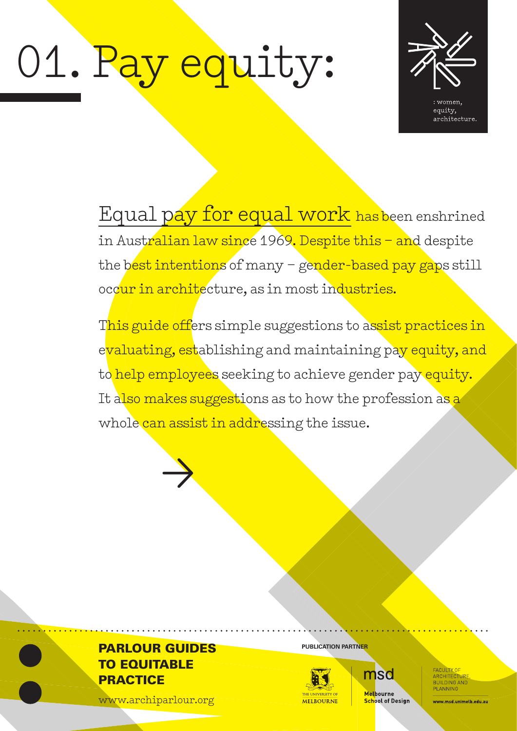# 01. Pay equity:



Equal pay for equal work has been enshrined in Australian law since 1969. Despite this – and despite the best intentions of many - gender-based pay gaps still occur in architecture, as in most industries.

This guide offers simple suggestions to assist practices in evaluating, establishing and maintaining pay equity, and to help employees seeking to achieve gender pay equity. It also makes suggestions as to how the profession as a whole can assist in addressing the issue.

## **PARLOUR GUIDES** PUBLICATION PARTNER TO EQUITABLE **PRACTICE**

 $\rightarrow$ 

www.archiparlour.org



msd Melbourne **School of Design** 

ARCHITECTURE<br>BUILDING AND PLANNING

ww.msd.unimelb.edu.au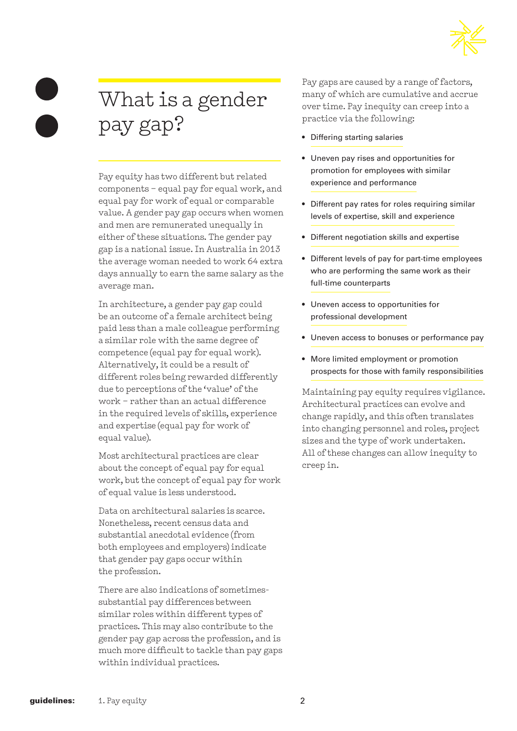

# What is a gender pay gap?

Pay equity has two different but related components – equal pay for equal work, and equal pay for work of equal or comparable value. A gender pay gap occurs when women and men are remunerated unequally in either of these situations. The gender pay gap is a national issue. In Australia in 2013 the average woman needed to work 64 extra days annually to earn the same salary as the average man.

In architecture, a gender pay gap could be an outcome of a female architect being paid less than a male colleague performing a similar role with the same degree of competence (equal pay for equal work). Alternatively, it could be a result of different roles being rewarded differently due to perceptions of the 'value' of the work – rather than an actual difference in the required levels of skills, experience and expertise (equal pay for work of equal value).

Most architectural practices are clear about the concept of equal pay for equal work, but the concept of equal pay for work of equal value is less understood.

Data on architectural salaries is scarce. Nonetheless, recent census data and substantial anecdotal evidence (from both employees and employers) indicate that gender pay gaps occur within the profession.

There are also indications of sometimessubstantial pay differences between similar roles within different types of practices. This may also contribute to the gender pay gap across the profession, and is much more difficult to tackle than pay gaps within individual practices.

Pay gaps are caused by a range of factors, many of which are cumulative and accrue over time. Pay inequity can creep into a practice via the following:

- Differing starting salaries
- Uneven pay rises and opportunities for promotion for employees with similar experience and performance
- Different pay rates for roles requiring similar levels of expertise, skill and experience
- Different negotiation skills and expertise
- Different levels of pay for part-time employees who are performing the same work as their full-time counterparts
- Uneven access to opportunities for professional development
- Uneven access to bonuses or performance pay
- More limited employment or promotion prospects for those with family responsibilities

Maintaining pay equity requires vigilance. Architectural practices can evolve and change rapidly, and this often translates into changing personnel and roles, project sizes and the type of work undertaken. All of these changes can allow inequity to creep in.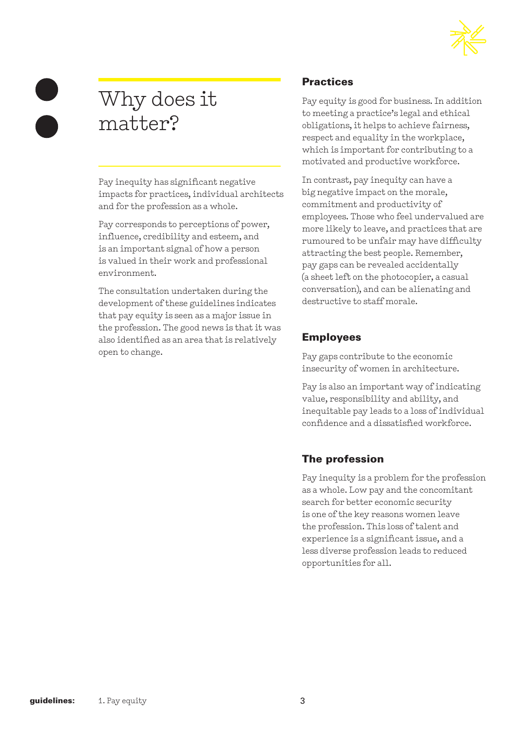

# Why does it matter?

Pay inequity has significant negative impacts for practices, individual architects and for the profession as a whole.

Pay corresponds to perceptions of power, influence, credibility and esteem, and is an important signal of how a person is valued in their work and professional environment.

The consultation undertaken during the development of these guidelines indicates that pay equity is seen as a major issue in the profession. The good news is that it was also identified as an area that is relatively open to change.

#### **Practices**

Pay equity is good for business. In addition to meeting a practice's legal and ethical obligations, it helps to achieve fairness, respect and equality in the workplace, which is important for contributing to a motivated and productive workforce.

In contrast, pay inequity can have a big negative impact on the morale, commitment and productivity of employees. Those who feel undervalued are more likely to leave, and practices that are rumoured to be unfair may have difficulty attracting the best people. Remember, pay gaps can be revealed accidentally (a sheet left on the photocopier, a casual conversation), and can be alienating and destructive to staff morale.

#### Employees

Pay gaps contribute to the economic insecurity of women in architecture.

Pay is also an important way of indicating value, responsibility and ability, and inequitable pay leads to a loss of individual confidence and a dissatisfied workforce.

#### The profession

Pay inequity is a problem for the profession as a whole. Low pay and the concomitant search for better economic security is one of the key reasons women leave the profession. This loss of talent and experience is a significant issue, and a less diverse profession leads to reduced opportunities for all.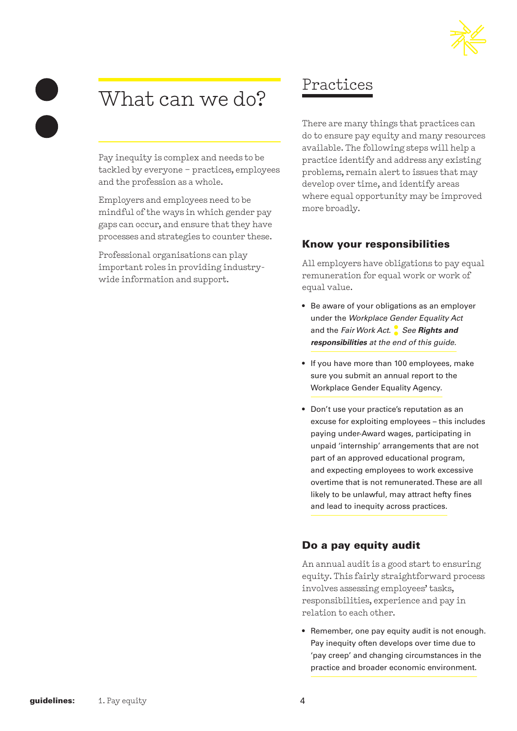# What can we do?

Pay inequity is complex and needs to be tackled by everyone – practices, employees and the profession as a whole.

Employers and employees need to be mindful of the ways in which gender pay gaps can occur, and ensure that they have processes and strategies to counter these.

Professional organisations can play important roles in providing industrywide information and support.

## Practices

There are many things that practices can do to ensure pay equity and many resources available. The following steps will help a practice identify and address any existing problems, remain alert to issues that may develop over time, and identify areas where equal opportunity may be improved more broadly.

#### Know your responsibilities

All employers have obligations to pay equal remuneration for equal work or work of equal value.

- Be aware of your obligations as an employer under the *Workplace Gender Equality Act* and the *Fair Work Act*. **:** *See Rights and responsibilities at the end of this guide.*
- If you have more than 100 employees, make sure you submit an annual report to the Workplace Gender Equality Agency.
- Don't use your practice's reputation as an excuse for exploiting employees – this includes paying under-Award wages, participating in unpaid 'internship' arrangements that are not part of an approved educational program, and expecting employees to work excessive overtime that is not remunerated. These are all likely to be unlawful, may attract hefty fines and lead to inequity across practices.

#### Do a pay equity audit

An annual audit is a good start to ensuring equity. This fairly straightforward process involves assessing employees' tasks, responsibilities, experience and pay in relation to each other.

• Remember, one pay equity audit is not enough. Pay inequity often develops over time due to 'pay creep' and changing circumstances in the practice and broader economic environment.

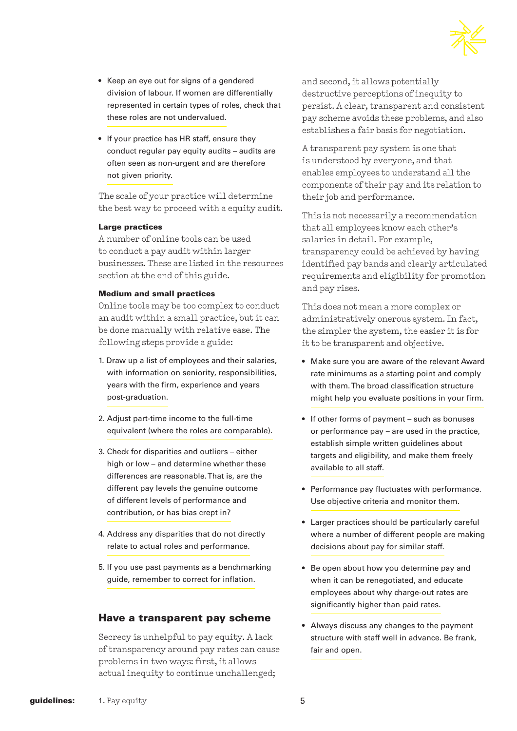- Keep an eye out for signs of a gendered division of labour. If women are differentially represented in certain types of roles, check that these roles are not undervalued.
- If your practice has HR staff, ensure they conduct regular pay equity audits – audits are often seen as non-urgent and are therefore not given priority.

The scale of your practice will determine the best way to proceed with a equity audit.

#### Large practices

A number of online tools can be used to conduct a pay audit within larger businesses. These are listed in the resources section at the end of this guide.

#### Medium and small practices

Online tools may be too complex to conduct an audit within a small practice, but it can be done manually with relative ease. The following steps provide a guide:

- 1. Draw up a list of employees and their salaries, with information on seniority, responsibilities, years with the firm, experience and years post-graduation.
- 2. Adjust part-time income to the full-time equivalent (where the roles are comparable).
- 3. Check for disparities and outliers either high or low – and determine whether these differences are reasonable. That is, are the different pay levels the genuine outcome of different levels of performance and contribution, or has bias crept in?
- 4. Address any disparities that do not directly relate to actual roles and performance.
- 5. If you use past payments as a benchmarking guide, remember to correct for inflation.

#### Have a transparent pay scheme

Secrecy is unhelpful to pay equity. A lack of transparency around pay rates can cause problems in two ways: first, it allows actual inequity to continue unchallenged;

and second, it allows potentially destructive perceptions of inequity to persist. A clear, transparent and consistent pay scheme avoids these problems, and also establishes a fair basis for negotiation.

A transparent pay system is one that is understood by everyone, and that enables employees to understand all the components of their pay and its relation to their job and performance.

This is not necessarily a recommendation that all employees know each other's salaries in detail. For example, transparency could be achieved by having identified pay bands and clearly articulated requirements and eligibility for promotion and pay rises.

This does not mean a more complex or administratively onerous system. In fact, the simpler the system, the easier it is for it to be transparent and objective.

- Make sure you are aware of the relevant Award rate minimums as a starting point and comply with them. The broad classification structure might help you evaluate positions in your firm.
- If other forms of payment such as bonuses or performance pay – are used in the practice, establish simple written guidelines about targets and eligibility, and make them freely available to all staff.
- Performance pay fluctuates with performance. Use objective criteria and monitor them.
- Larger practices should be particularly careful where a number of different people are making decisions about pay for similar staff.
- Be open about how you determine pay and when it can be renegotiated, and educate employees about why charge-out rates are significantly higher than paid rates.
- Always discuss any changes to the payment structure with staff well in advance. Be frank, fair and open.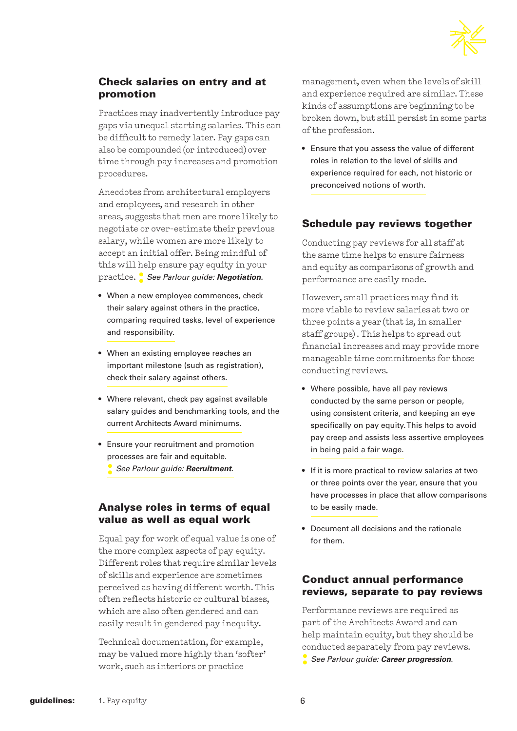

#### Check salaries on entry and at promotion

Practices may inadvertently introduce pay gaps via unequal starting salaries. This can be difficult to remedy later. Pay gaps can also be compounded (or introduced) over time through pay increases and promotion procedures.

Anecdotes from architectural employers and employees, and research in other areas, suggests that men are more likely to negotiate or over-estimate their previous salary, while women are more likely to accept an initial offer. Being mindful of this will help ensure pay equity in your practice. **:** *See Parlour guide: Negotiation.*

- When a new employee commences, check their salary against others in the practice, comparing required tasks, level of experience and responsibility.
- When an existing employee reaches an important milestone (such as registration), check their salary against others.
- Where relevant, check pay against available salary guides and benchmarking tools, and the current Architects Award minimums.
- Ensure your recruitment and promotion processes are fair and equitable.
	- **:** *See Parlour guide: Recruitment*.

#### Analyse roles in terms of equal value as well as equal work

Equal pay for work of equal value is one of the more complex aspects of pay equity. Different roles that require similar levels of skills and experience are sometimes perceived as having different worth. This often reflects historic or cultural biases, which are also often gendered and can easily result in gendered pay inequity.

Technical documentation, for example, may be valued more highly than 'softer' work, such as interiors or practice

management, even when the levels of skill and experience required are similar. These kinds of assumptions are beginning to be broken down, but still persist in some parts of the profession.

• Ensure that you assess the value of different roles in relation to the level of skills and experience required for each, not historic or preconceived notions of worth.

#### Schedule pay reviews together

Conducting pay reviews for all staff at the same time helps to ensure fairness and equity as comparisons of growth and performance are easily made.

However, small practices may find it more viable to review salaries at two or three points a year (that is, in smaller staff groups) . This helps to spread out financial increases and may provide more manageable time commitments for those conducting reviews.

- Where possible, have all pay reviews conducted by the same person or people, using consistent criteria, and keeping an eye specifically on pay equity. This helps to avoid pay creep and assists less assertive employees in being paid a fair wage.
- If it is more practical to review salaries at two or three points over the year, ensure that you have processes in place that allow comparisons to be easily made.
- Document all decisions and the rationale for them.

#### Conduct annual performance reviews, separate to pay reviews

Performance reviews are required as part of the Architects Award and can help maintain equity, but they should be conducted separately from pay reviews. **:** *See Parlour guide: Career progression*.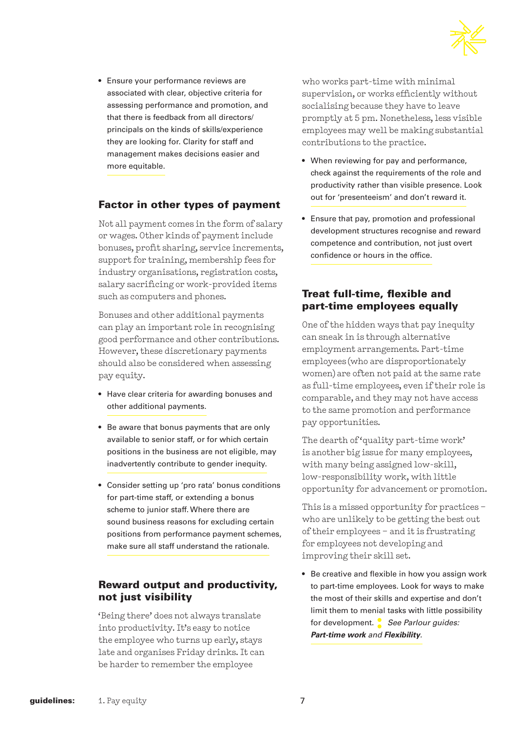

• Ensure your performance reviews are associated with clear, objective criteria for assessing performance and promotion, and that there is feedback from all directors/ principals on the kinds of skills/experience they are looking for. Clarity for staff and management makes decisions easier and more equitable.

#### Factor in other types of payment

Not all payment comes in the form of salary or wages. Other kinds of payment include bonuses, profit sharing, service increments, support for training, membership fees for industry organisations, registration costs, salary sacrificing or work-provided items such as computers and phones.

Bonuses and other additional payments can play an important role in recognising good performance and other contributions. However, these discretionary payments should also be considered when assessing pay equity.

- Have clear criteria for awarding bonuses and other additional payments.
- Be aware that bonus payments that are only available to senior staff, or for which certain positions in the business are not eligible, may inadvertently contribute to gender inequity.
- Consider setting up 'pro rata' bonus conditions for part-time staff, or extending a bonus scheme to junior staff. Where there are sound business reasons for excluding certain positions from performance payment schemes, make sure all staff understand the rationale.

#### Reward output and productivity, not just visibility

'Being there' does not always translate into productivity. It's easy to notice the employee who turns up early, stays late and organises Friday drinks. It can be harder to remember the employee

who works part-time with minimal supervision, or works efficiently without socialising because they have to leave promptly at 5 pm. Nonetheless, less visible employees may well be making substantial contributions to the practice.

- When reviewing for pay and performance, check against the requirements of the role and productivity rather than visible presence. Look out for 'presenteeism' and don't reward it.
- Ensure that pay, promotion and professional development structures recognise and reward competence and contribution, not just overt confidence or hours in the office.

#### Treat full-time, flexible and part-time employees equally

One of the hidden ways that pay inequity can sneak in is through alternative employment arrangements. Part-time employees (who are disproportionately women) are often not paid at the same rate as full-time employees, even if their role is comparable, and they may not have access to the same promotion and performance pay opportunities.

The dearth of 'quality part-time work' is another big issue for many employees, with many being assigned low-skill, low-responsibility work, with little opportunity for advancement or promotion.

This is a missed opportunity for practices – who are unlikely to be getting the best out of their employees – and it is frustrating for employees not developing and improving their skill set.

• Be creative and flexible in how you assign work to part-time employees. Look for ways to make the most of their skills and expertise and don't limit them to menial tasks with little possibility for development.**:** *See Parlour guides: Part-time work and Flexibility.*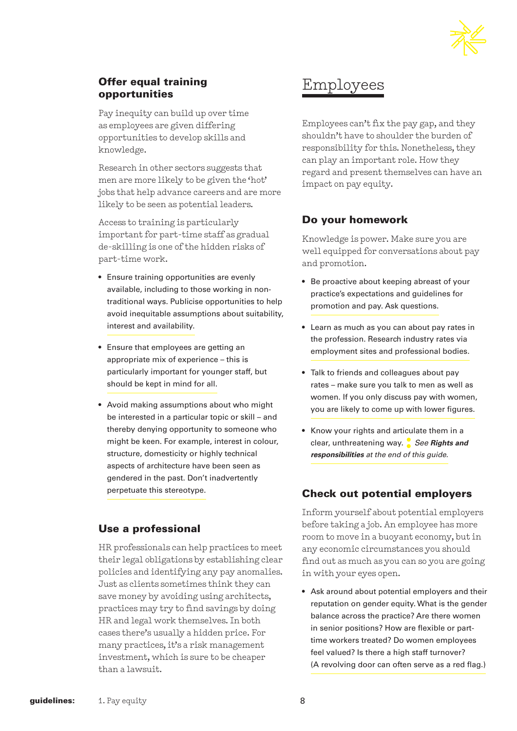

#### Offer equal training opportunities

Pay inequity can build up over time as employees are given differing opportunities to develop skills and knowledge.

Research in other sectors suggests that men are more likely to be given the 'hot' jobs that help advance careers and are more likely to be seen as potential leaders.

Access to training is particularly important for part-time staff as gradual de-skilling is one of the hidden risks of part-time work.

- Ensure training opportunities are evenly available, including to those working in nontraditional ways. Publicise opportunities to help avoid inequitable assumptions about suitability, interest and availability.
- Ensure that employees are getting an appropriate mix of experience – this is particularly important for younger staff, but should be kept in mind for all.
- Avoid making assumptions about who might be interested in a particular topic or skill – and thereby denying opportunity to someone who might be keen. For example, interest in colour, structure, domesticity or highly technical aspects of architecture have been seen as gendered in the past. Don't inadvertently perpetuate this stereotype.

#### Use a professional

HR professionals can help practices to meet their legal obligations by establishing clear policies and identifying any pay anomalies. Just as clients sometimes think they can save money by avoiding using architects, practices may try to find savings by doing HR and legal work themselves. In both cases there's usually a hidden price. For many practices, it's a risk management investment, which is sure to be cheaper than a lawsuit.

# Employees

Employees can't fix the pay gap, and they shouldn't have to shoulder the burden of responsibility for this. Nonetheless, they can play an important role. How they regard and present themselves can have an impact on pay equity.

#### Do your homework

Knowledge is power. Make sure you are well equipped for conversations about pay and promotion.

- Be proactive about keeping abreast of your practice's expectations and guidelines for promotion and pay. Ask questions.
- Learn as much as you can about pay rates in the profession. Research industry rates via employment sites and professional bodies.
- Talk to friends and colleagues about pay rates – make sure you talk to men as well as women. If you only discuss pay with women, you are likely to come up with lower figures.
- Know your rights and articulate them in a clear, unthreatening way. **:** *See Rights and responsibilities at the end of this guide.*

#### Check out potential employers

Inform yourself about potential employers before taking a job. An employee has more room to move in a buoyant economy, but in any economic circumstances you should find out as much as you can so you are going in with your eyes open.

• Ask around about potential employers and their reputation on gender equity. What is the gender balance across the practice? Are there women in senior positions? How are flexible or parttime workers treated? Do women employees feel valued? Is there a high staff turnover? (A revolving door can often serve as a red flag.)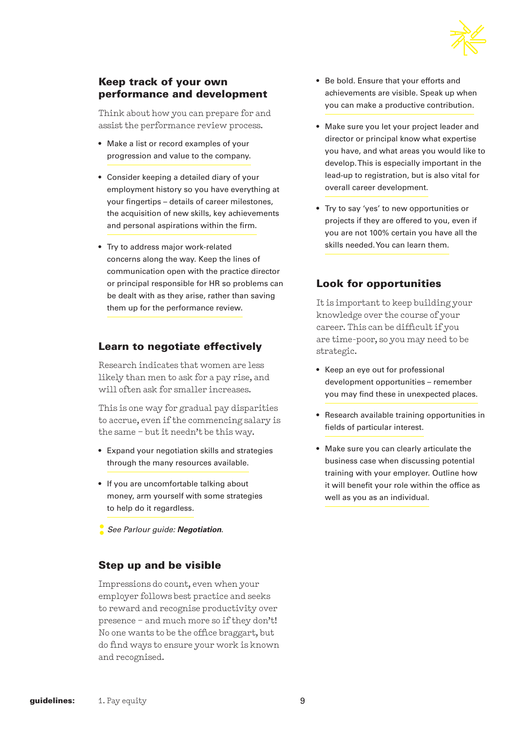

#### Keep track of your own performance and development

Think about how you can prepare for and assist the performance review process.

- Make a list or record examples of your progression and value to the company.
- Consider keeping a detailed diary of your employment history so you have everything at your fingertips – details of career milestones, the acquisition of new skills, key achievements and personal aspirations within the firm.
- Try to address major work-related concerns along the way. Keep the lines of communication open with the practice director or principal responsible for HR so problems can be dealt with as they arise, rather than saving them up for the performance review.

#### Learn to negotiate effectively

Research indicates that women are less likely than men to ask for a pay rise, and will often ask for smaller increases.

This is one way for gradual pay disparities to accrue, even if the commencing salary is the same – but it needn't be this way.

- Expand your negotiation skills and strategies through the many resources available.
- If you are uncomfortable talking about money, arm yourself with some strategies to help do it regardless.
- **:** *See Parlour guide: Negotiation*.

#### Step up and be visible

Impressions do count, even when your employer follows best practice and seeks to reward and recognise productivity over presence – and much more so if they don't! No one wants to be the office braggart, but do find ways to ensure your work is known and recognised.

- Be bold. Ensure that your efforts and achievements are visible. Speak up when you can make a productive contribution.
- Make sure you let your project leader and director or principal know what expertise you have, and what areas you would like to develop. This is especially important in the lead-up to registration, but is also vital for overall career development.
- Try to say 'yes' to new opportunities or projects if they are offered to you, even if you are not 100% certain you have all the skills needed. You can learn them.

#### Look for opportunities

It is important to keep building your knowledge over the course of your career. This can be difficult if you are time-poor, so you may need to be strategic.

- Keep an eye out for professional development opportunities – remember you may find these in unexpected places.
- Research available training opportunities in fields of particular interest.
- Make sure you can clearly articulate the business case when discussing potential training with your employer. Outline how it will benefit your role within the office as well as you as an individual.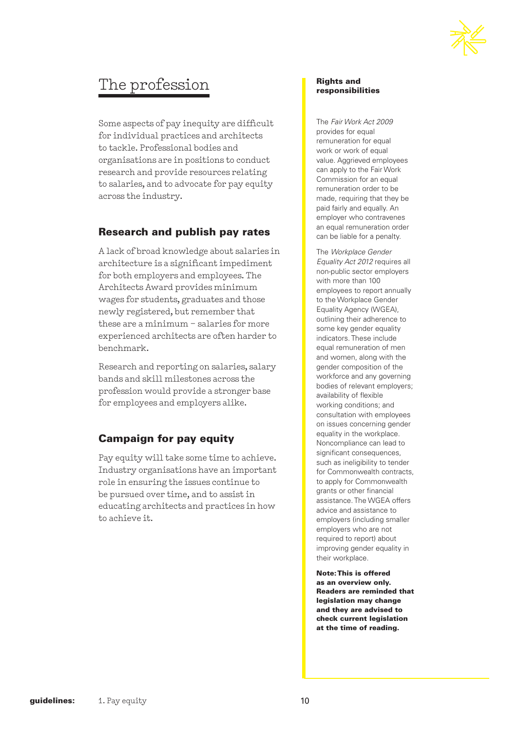

## The profession

Some aspects of pay inequity are difficult for individual practices and architects to tackle. Professional bodies and organisations are in positions to conduct research and provide resources relating to salaries, and to advocate for pay equity across the industry.

#### Research and publish pay rates

A lack of broad knowledge about salaries in architecture is a significant impediment for both employers and employees. The Architects Award provides minimum wages for students, graduates and those newly registered, but remember that these are a minimum – salaries for more experienced architects are often harder to benchmark.

Research and reporting on salaries, salary bands and skill milestones across the profession would provide a stronger base for employees and employers alike.

#### Campaign for pay equity

Pay equity will take some time to achieve. Industry organisations have an important role in ensuring the issues continue to be pursued over time, and to assist in educating architects and practices in how to achieve it.

#### Rights and responsibilities

The *Fair Work Act 2009*  provides for equal remuneration for equal work or work of equal value. Aggrieved employees can apply to the Fair Work Commission for an equal remuneration order to be made, requiring that they be paid fairly and equally. An employer who contravenes an equal remuneration order can be liable for a penalty.

The *Workplace Gender Equality Act 2012* requires all non-public sector employers with more than 100 employees to report annually to the Workplace Gender Equality Agency (WGEA), outlining their adherence to some key gender equality indicators. These include equal remuneration of men and women, along with the gender composition of the workforce and any governing bodies of relevant employers; availability of flexible working conditions; and consultation with employees on issues concerning gender equality in the workplace. Noncompliance can lead to significant consequences, such as ineligibility to tender for Commonwealth contracts, to apply for Commonwealth grants or other financial assistance. The WGEA offers advice and assistance to employers (including smaller employers who are not required to report) about improving gender equality in their workplace.

Note: This is offered as an overview only. Readers are reminded that legislation may change and they are advised to check current legislation at the time of reading.